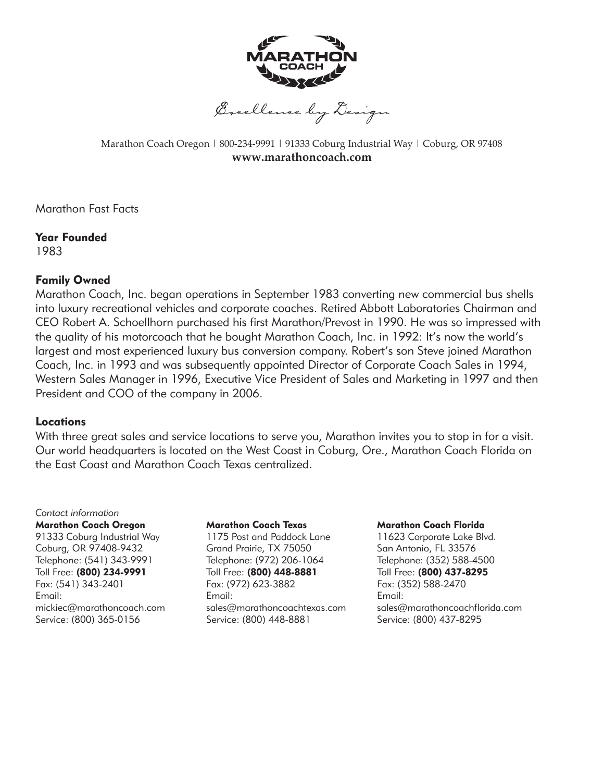

Marathon Coach Oregon | 800-234-9991 | 91333 Coburg Industrial Way | Coburg, OR 97408 **www.marathoncoach.com**

Marathon Fast Facts

Year Founded 1983

#### Family Owned

Marathon Coach, Inc. began operations in September 1983 converting new commercial bus shells into luxury recreational vehicles and corporate coaches. Retired Abbott Laboratories Chairman and CEO Robert A. Schoellhorn purchased his first Marathon/Prevost in 1990. He was so impressed with the quality of his motorcoach that he bought Marathon Coach, Inc. in 1992: It's now the world's largest and most experienced luxury bus conversion company. Robert's son Steve joined Marathon Coach, Inc. in 1993 and was subsequently appointed Director of Corporate Coach Sales in 1994, Western Sales Manager in 1996, Executive Vice President of Sales and Marketing in 1997 and then President and COO of the company in 2006.

#### Locations

With three great sales and service locations to serve you, Marathon invites you to stop in for a visit. Our world headquarters is located on the West Coast in Coburg, Ore., Marathon Coach Florida on the East Coast and Marathon Coach Texas centralized.

#### *Contact information*

#### Marathon Coach Oregon

91333 Coburg Industrial Way Coburg, OR 97408-9432 Telephone: (541) 343-9991 Toll Free: (800) 234-9991 Fax: (541) 343-2401 Email: mickiec@marathoncoach.com Service: (800) 365-0156

#### Marathon Coach Texas

1175 Post and Paddock Lane Grand Prairie, TX 75050 Telephone: (972) 206-1064 Toll Free: (800) 448-8881 Fax: (972) 623-3882 Email: sales@marathoncoachtexas.com Service: (800) 448-8881

#### Marathon Coach Florida

11623 Corporate Lake Blvd. San Antonio, FL 33576 Telephone: (352) 588-4500 Toll Free: (800) 437-8295 Fax: (352) 588-2470 Email: sales@marathoncoachflorida.com Service: (800) 437-8295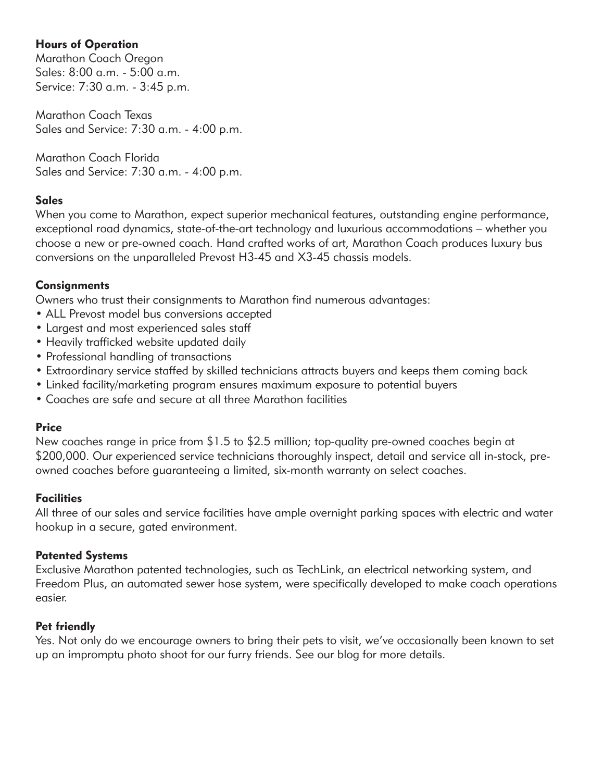## Hours of Operation

Marathon Coach Oregon Sales: 8:00 a.m. - 5:00 a.m. Service: 7:30 a.m. - 3:45 p.m.

Marathon Coach Texas Sales and Service: 7:30 a.m. - 4:00 p.m.

Marathon Coach Florida Sales and Service: 7:30 a.m. - 4:00 p.m.

## **Sales**

When you come to Marathon, expect superior mechanical features, outstanding engine performance, exceptional road dynamics, state-of-the-art technology and luxurious accommodations – whether you choose a new or pre-owned coach. Hand crafted works of art, Marathon Coach produces luxury bus conversions on the unparalleled Prevost H3-45 and X3-45 chassis models.

## **Consignments**

Owners who trust their consignments to Marathon find numerous advantages:

- ALL Prevost model bus conversions accepted
- Largest and most experienced sales staff
- Heavily trafficked website updated daily
- Professional handling of transactions
- Extraordinary service staffed by skilled technicians attracts buyers and keeps them coming back
- Linked facility/marketing program ensures maximum exposure to potential buyers
- Coaches are safe and secure at all three Marathon facilities

## Price

New coaches range in price from \$1.5 to \$2.5 million; top-quality pre-owned coaches begin at \$200,000. Our experienced service technicians thoroughly inspect, detail and service all in-stock, preowned coaches before guaranteeing a limited, six-month warranty on select coaches.

# **Facilities**

All three of our sales and service facilities have ample overnight parking spaces with electric and water hookup in a secure, gated environment.

## Patented Systems

Exclusive Marathon patented technologies, such as TechLink, an electrical networking system, and Freedom Plus, an automated sewer hose system, were specifically developed to make coach operations easier.

## Pet friendly

Yes. Not only do we encourage owners to bring their pets to visit, we've occasionally been known to set up an impromptu photo shoot for our furry friends. See our blog for more details.